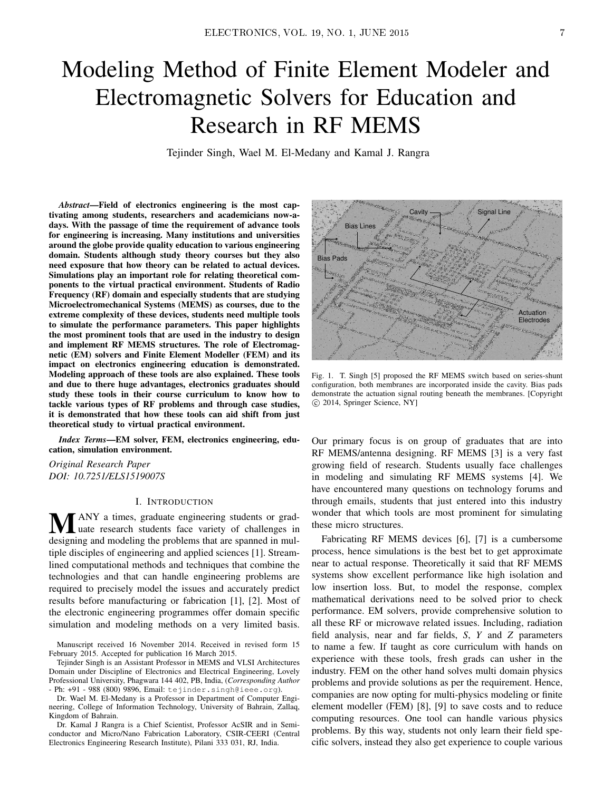# Modeling Method of Finite Element Modeler and Electromagnetic Solvers for Education and Research in RF MEMS

Tejinder Singh, Wael M. El-Medany and Kamal J. Rangra

*Abstract*—Field of electronics engineering is the most captivating among students, researchers and academicians now-adays. With the passage of time the requirement of advance tools for engineering is increasing. Many institutions and universities around the globe provide quality education to various engineering domain. Students although study theory courses but they also need exposure that how theory can be related to actual devices. Simulations play an important role for relating theoretical components to the virtual practical environment. Students of Radio Frequency (RF) domain and especially students that are studying Microelectromechanical Systems (MEMS) as courses, due to the extreme complexity of these devices, students need multiple tools to simulate the performance parameters. This paper highlights the most prominent tools that are used in the industry to design and implement RF MEMS structures. The role of Electromagnetic (EM) solvers and Finite Element Modeller (FEM) and its impact on electronics engineering education is demonstrated. Modeling approach of these tools are also explained. These tools and due to there huge advantages, electronics graduates should study these tools in their course curriculum to know how to tackle various types of RF problems and through case studies, it is demonstrated that how these tools can aid shift from just theoretical study to virtual practical environment.

*Index Terms*—EM solver, FEM, electronics engineering, education, simulation environment.

*Original Research Paper DOI: 10.7251/ELS1519007S*

#### I. INTRODUCTION

**MANY** a times, graduate engineering students or grad-<br>designing and modeling the problems fact are gramed in mul designing and modeling the problems that are spanned in multiple disciples of engineering and applied sciences [1]. Streamlined computational methods and techniques that combine the technologies and that can handle engineering problems are required to precisely model the issues and accurately predict results before manufacturing or fabrication [1], [2]. Most of the electronic engineering programmes offer domain specific simulation and modeling methods on a very limited basis.

Manuscript received 16 November 2014. Received in revised form 15 February 2015. Accepted for publication 16 March 2015.

Tejinder Singh is an Assistant Professor in MEMS and VLSI Architectures Domain under Discipline of Electronics and Electrical Engineering, Lovely Professional University, Phagwara 144 402, PB, India, (*Corresponding Author* - Ph: +91 - 988 (800) 9896, Email: tejinder.singh@ieee.org).

Dr. Wael M. El-Medany is a Professor in Department of Computer Engineering, College of Information Technology, University of Bahrain, Zallaq, Kingdom of Bahrain.

Dr. Kamal J Rangra is a Chief Scientist, Professor AcSIR and in Semiconductor and Micro/Nano Fabrication Laboratory, CSIR-CEERI (Central Electronics Engineering Research Institute), Pilani 333 031, RJ, India.



Fig. 1. T. Singh [5] proposed the RF MEMS switch based on series-shunt configuration, both membranes are incorporated inside the cavity. Bias pads demonstrate the actuation signal routing beneath the membranes. [Copyright c 2014, Springer Science, NY]

Our primary focus is on group of graduates that are into RF MEMS/antenna designing. RF MEMS [3] is a very fast growing field of research. Students usually face challenges in modeling and simulating RF MEMS systems [4]. We have encountered many questions on technology forums and through emails, students that just entered into this industry wonder that which tools are most prominent for simulating these micro structures.

Fabricating RF MEMS devices [6], [7] is a cumbersome process, hence simulations is the best bet to get approximate near to actual response. Theoretically it said that RF MEMS systems show excellent performance like high isolation and low insertion loss. But, to model the response, complex mathematical derivations need to be solved prior to check performance. EM solvers, provide comprehensive solution to all these RF or microwave related issues. Including, radiation field analysis, near and far fields, *S*, *Y* and *Z* parameters to name a few. If taught as core curriculum with hands on experience with these tools, fresh grads can usher in the industry. FEM on the other hand solves multi domain physics problems and provide solutions as per the requirement. Hence, companies are now opting for multi-physics modeling or finite element modeller (FEM) [8], [9] to save costs and to reduce computing resources. One tool can handle various physics problems. By this way, students not only learn their field specific solvers, instead they also get experience to couple various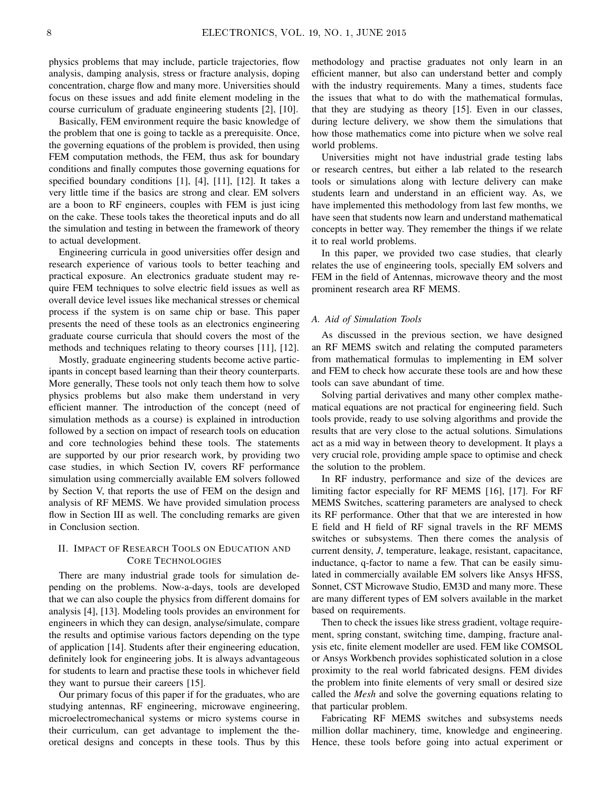physics problems that may include, particle trajectories, flow analysis, damping analysis, stress or fracture analysis, doping concentration, charge flow and many more. Universities should focus on these issues and add finite element modeling in the course curriculum of graduate engineering students [2], [10].

Basically, FEM environment require the basic knowledge of the problem that one is going to tackle as a prerequisite. Once, the governing equations of the problem is provided, then using FEM computation methods, the FEM, thus ask for boundary conditions and finally computes those governing equations for specified boundary conditions [1], [4], [11], [12]. It takes a very little time if the basics are strong and clear. EM solvers are a boon to RF engineers, couples with FEM is just icing on the cake. These tools takes the theoretical inputs and do all the simulation and testing in between the framework of theory to actual development.

Engineering curricula in good universities offer design and research experience of various tools to better teaching and practical exposure. An electronics graduate student may require FEM techniques to solve electric field issues as well as overall device level issues like mechanical stresses or chemical process if the system is on same chip or base. This paper presents the need of these tools as an electronics engineering graduate course curricula that should covers the most of the methods and techniques relating to theory courses [11], [12].

Mostly, graduate engineering students become active participants in concept based learning than their theory counterparts. More generally, These tools not only teach them how to solve physics problems but also make them understand in very efficient manner. The introduction of the concept (need of simulation methods as a course) is explained in introduction followed by a section on impact of research tools on education and core technologies behind these tools. The statements are supported by our prior research work, by providing two case studies, in which Section IV, covers RF performance simulation using commercially available EM solvers followed by Section V, that reports the use of FEM on the design and analysis of RF MEMS. We have provided simulation process flow in Section III as well. The concluding remarks are given in Conclusion section.

## II. IMPACT OF RESEARCH TOOLS ON EDUCATION AND CORE TECHNOLOGIES

There are many industrial grade tools for simulation depending on the problems. Now-a-days, tools are developed that we can also couple the physics from different domains for analysis [4], [13]. Modeling tools provides an environment for engineers in which they can design, analyse/simulate, compare the results and optimise various factors depending on the type of application [14]. Students after their engineering education, definitely look for engineering jobs. It is always advantageous for students to learn and practise these tools in whichever field they want to pursue their careers [15].

Our primary focus of this paper if for the graduates, who are studying antennas, RF engineering, microwave engineering, microelectromechanical systems or micro systems course in their curriculum, can get advantage to implement the theoretical designs and concepts in these tools. Thus by this methodology and practise graduates not only learn in an efficient manner, but also can understand better and comply with the industry requirements. Many a times, students face the issues that what to do with the mathematical formulas, that they are studying as theory [15]. Even in our classes, during lecture delivery, we show them the simulations that how those mathematics come into picture when we solve real world problems.

Universities might not have industrial grade testing labs or research centres, but either a lab related to the research tools or simulations along with lecture delivery can make students learn and understand in an efficient way. As, we have implemented this methodology from last few months, we have seen that students now learn and understand mathematical concepts in better way. They remember the things if we relate it to real world problems.

In this paper, we provided two case studies, that clearly relates the use of engineering tools, specially EM solvers and FEM in the field of Antennas, microwave theory and the most prominent research area RF MEMS.

## *A. Aid of Simulation Tools*

As discussed in the previous section, we have designed an RF MEMS switch and relating the computed parameters from mathematical formulas to implementing in EM solver and FEM to check how accurate these tools are and how these tools can save abundant of time.

Solving partial derivatives and many other complex mathematical equations are not practical for engineering field. Such tools provide, ready to use solving algorithms and provide the results that are very close to the actual solutions. Simulations act as a mid way in between theory to development. It plays a very crucial role, providing ample space to optimise and check the solution to the problem.

In RF industry, performance and size of the devices are limiting factor especially for RF MEMS [16], [17]. For RF MEMS Switches, scattering parameters are analysed to check its RF performance. Other that that we are interested in how E field and H field of RF signal travels in the RF MEMS switches or subsystems. Then there comes the analysis of current density, *J*, temperature, leakage, resistant, capacitance, inductance, q-factor to name a few. That can be easily simulated in commercially available EM solvers like Ansys HFSS, Sonnet, CST Microwave Studio, EM3D and many more. These are many different types of EM solvers available in the market based on requirements.

Then to check the issues like stress gradient, voltage requirement, spring constant, switching time, damping, fracture analysis etc, finite element modeller are used. FEM like COMSOL or Ansys Workbench provides sophisticated solution in a close proximity to the real world fabricated designs. FEM divides the problem into finite elements of very small or desired size called the *Mesh* and solve the governing equations relating to that particular problem.

Fabricating RF MEMS switches and subsystems needs million dollar machinery, time, knowledge and engineering. Hence, these tools before going into actual experiment or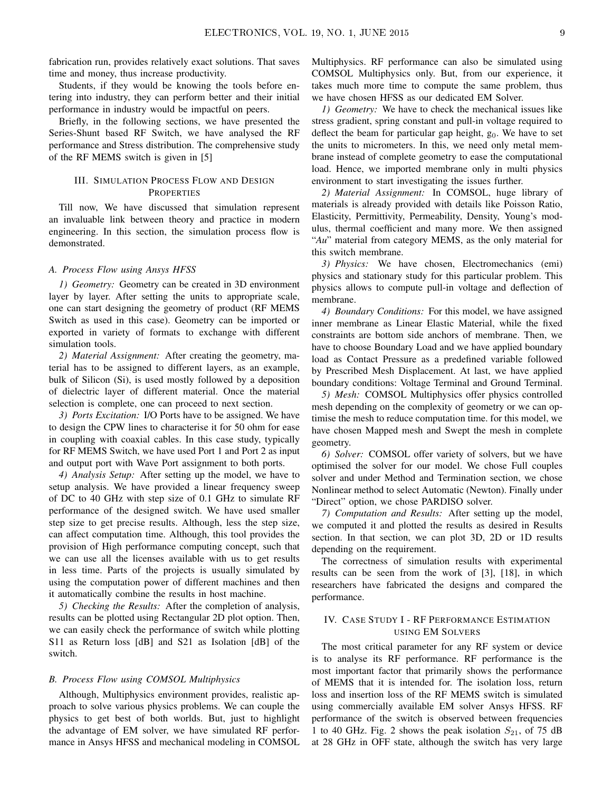fabrication run, provides relatively exact solutions. That saves time and money, thus increase productivity.

Students, if they would be knowing the tools before entering into industry, they can perform better and their initial performance in industry would be impactful on peers.

Briefly, in the following sections, we have presented the Series-Shunt based RF Switch, we have analysed the RF performance and Stress distribution. The comprehensive study of the RF MEMS switch is given in [5]

## III. SIMULATION PROCESS FLOW AND DESIGN **PROPERTIES**

Till now, We have discussed that simulation represent an invaluable link between theory and practice in modern engineering. In this section, the simulation process flow is demonstrated.

#### *A. Process Flow using Ansys HFSS*

*1) Geometry:* Geometry can be created in 3D environment layer by layer. After setting the units to appropriate scale, one can start designing the geometry of product (RF MEMS Switch as used in this case). Geometry can be imported or exported in variety of formats to exchange with different simulation tools.

*2) Material Assignment:* After creating the geometry, material has to be assigned to different layers, as an example, bulk of Silicon (Si), is used mostly followed by a deposition of dielectric layer of different material. Once the material selection is complete, one can proceed to next section.

*3) Ports Excitation:* I/O Ports have to be assigned. We have to design the CPW lines to characterise it for 50 ohm for ease in coupling with coaxial cables. In this case study, typically for RF MEMS Switch, we have used Port 1 and Port 2 as input and output port with Wave Port assignment to both ports.

*4) Analysis Setup:* After setting up the model, we have to setup analysis. We have provided a linear frequency sweep of DC to 40 GHz with step size of 0.1 GHz to simulate RF performance of the designed switch. We have used smaller step size to get precise results. Although, less the step size, can affect computation time. Although, this tool provides the provision of High performance computing concept, such that we can use all the licenses available with us to get results in less time. Parts of the projects is usually simulated by using the computation power of different machines and then it automatically combine the results in host machine.

*5) Checking the Results:* After the completion of analysis, results can be plotted using Rectangular 2D plot option. Then, we can easily check the performance of switch while plotting S11 as Return loss [dB] and S21 as Isolation [dB] of the switch.

#### *B. Process Flow using COMSOL Multiphysics*

Although, Multiphysics environment provides, realistic approach to solve various physics problems. We can couple the physics to get best of both worlds. But, just to highlight the advantage of EM solver, we have simulated RF performance in Ansys HFSS and mechanical modeling in COMSOL Multiphysics. RF performance can also be simulated using COMSOL Multiphysics only. But, from our experience, it takes much more time to compute the same problem, thus we have chosen HFSS as our dedicated EM Solver.

*1) Geometry:* We have to check the mechanical issues like stress gradient, spring constant and pull-in voltage required to deflect the beam for particular gap height,  $g<sub>0</sub>$ . We have to set the units to micrometers. In this, we need only metal membrane instead of complete geometry to ease the computational load. Hence, we imported membrane only in multi physics environment to start investigating the issues further.

*2) Material Assignment:* In COMSOL, huge library of materials is already provided with details like Poisson Ratio, Elasticity, Permittivity, Permeability, Density, Young's modulus, thermal coefficient and many more. We then assigned "*Au*" material from category MEMS, as the only material for this switch membrane.

*3) Physics:* We have chosen, Electromechanics (emi) physics and stationary study for this particular problem. This physics allows to compute pull-in voltage and deflection of membrane.

*4) Boundary Conditions:* For this model, we have assigned inner membrane as Linear Elastic Material, while the fixed constraints are bottom side anchors of membrane. Then, we have to choose Boundary Load and we have applied boundary load as Contact Pressure as a predefined variable followed by Prescribed Mesh Displacement. At last, we have applied boundary conditions: Voltage Terminal and Ground Terminal.

*5) Mesh:* COMSOL Multiphysics offer physics controlled mesh depending on the complexity of geometry or we can optimise the mesh to reduce computation time. for this model, we have chosen Mapped mesh and Swept the mesh in complete geometry.

*6) Solver:* COMSOL offer variety of solvers, but we have optimised the solver for our model. We chose Full couples solver and under Method and Termination section, we chose Nonlinear method to select Automatic (Newton). Finally under "Direct" option, we chose PARDISO solver.

*7) Computation and Results:* After setting up the model, we computed it and plotted the results as desired in Results section. In that section, we can plot 3D, 2D or 1D results depending on the requirement.

The correctness of simulation results with experimental results can be seen from the work of [3], [18], in which researchers have fabricated the designs and compared the performance.

## IV. CASE STUDY I - RF PERFORMANCE ESTIMATION USING EM SOLVERS

The most critical parameter for any RF system or device is to analyse its RF performance. RF performance is the most important factor that primarily shows the performance of MEMS that it is intended for. The isolation loss, return loss and insertion loss of the RF MEMS switch is simulated using commercially available EM solver Ansys HFSS. RF performance of the switch is observed between frequencies 1 to 40 GHz. Fig. 2 shows the peak isolation  $S_{21}$ , of 75 dB at 28 GHz in OFF state, although the switch has very large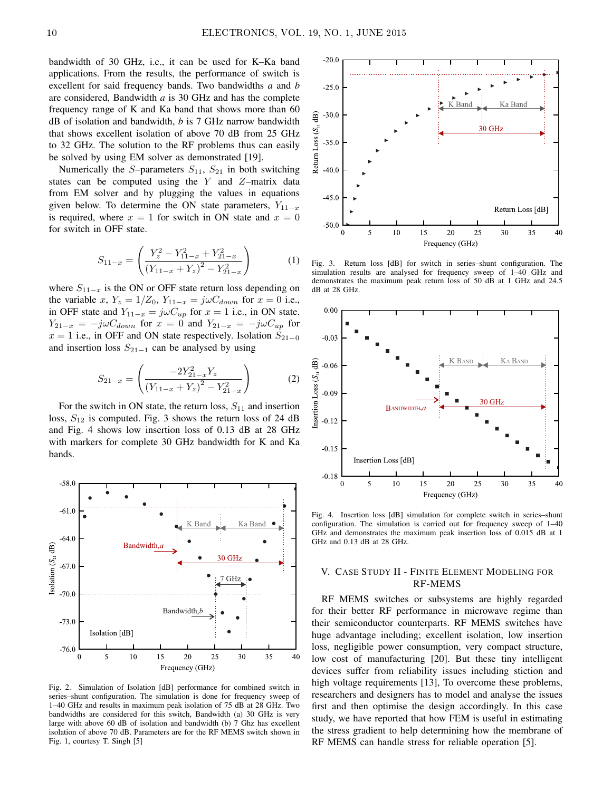bandwidth of 30 GHz, i.e., it can be used for K–Ka band applications. From the results, the performance of switch is excellent for said frequency bands. Two bandwidths *a* and *b* are considered, Bandwidth *a* is 30 GHz and has the complete frequency range of K and Ka band that shows more than 60 dB of isolation and bandwidth, *b* is 7 GHz narrow bandwidth that shows excellent isolation of above 70 dB from 25 GHz to 32 GHz. The solution to the RF problems thus can easily be solved by using EM solver as demonstrated [19].

Numerically the S-parameters  $S_{11}$ ,  $S_{21}$  in both switching states can be computed using the  $Y$  and  $Z$ -matrix data from EM solver and by plugging the values in equations given below. To determine the ON state parameters,  $Y_{11-x}$ is required, where  $x = 1$  for switch in ON state and  $x = 0$ for switch in OFF state.

$$
S_{11-x} = \left(\frac{Y_z^2 - Y_{11-x}^2 + Y_{21-x}^2}{(Y_{11-x} + Y_z)^2 - Y_{21-x}^2}\right)
$$
 (1)

where  $S_{11-x}$  is the ON or OFF state return loss depending on the variable x,  $Y_z = 1/Z_0$ ,  $Y_{11-x} = j\omega C_{down}$  for  $x = 0$  i.e., in OFF state and  $Y_{11-x} = j\omega C_{up}$  for  $x = 1$  i.e., in ON state.  $Y_{21-x} = -j\omega C_{down}$  for  $x = 0$  and  $Y_{21-x} = -j\omega C_{up}$  for  $x = 1$  i.e., in OFF and ON state respectively. Isolation  $S_{21-0}$ and insertion loss  $S_{21-1}$  can be analysed by using

$$
S_{21-x} = \left(\frac{-2Y_{21-x}^2 Y_z}{\left(Y_{11-x} + Y_z\right)^2 - Y_{21-x}^2}\right) \tag{2}
$$

For the switch in ON state, the return loss,  $S_{11}$  and insertion loss,  $S_{12}$  is computed. Fig. 3 shows the return loss of 24 dB and Fig. 4 shows low insertion loss of 0.13 dB at 28 GHz with markers for complete 30 GHz bandwidth for K and Ka bands.



Fig. 2. Simulation of Isolation [dB] performance for combined switch in series–shunt configuration. The simulation is done for frequency sweep of 1–40 GHz and results in maximum peak isolation of 75 dB at 28 GHz. Two bandwidths are considered for this switch, Bandwidth (a) 30 GHz is very large with above 60 dB of isolation and bandwidth (b) 7 Ghz has excellent isolation of above 70 dB. Parameters are for the RF MEMS switch shown in Fig. 1, courtesy T. Singh [5]



Fig. 3. Return loss [dB] for switch in series–shunt configuration. The simulation results are analysed for frequency sweep of 1–40 GHz and demonstrates the maximum peak return loss of 50 dB at 1 GHz and 24.5 dB at 28 GHz.



Fig. 4. Insertion loss [dB] simulation for complete switch in series–shunt configuration. The simulation is carried out for frequency sweep of 1–40 GHz and demonstrates the maximum peak insertion loss of 0.015 dB at 1 GHz and 0.13 dB at 28 GHz.

## V. CASE STUDY II - FINITE ELEMENT MODELING FOR RF-MEMS

RF MEMS switches or subsystems are highly regarded for their better RF performance in microwave regime than their semiconductor counterparts. RF MEMS switches have huge advantage including; excellent isolation, low insertion loss, negligible power consumption, very compact structure, low cost of manufacturing [20]. But these tiny intelligent devices suffer from reliability issues including stiction and high voltage requirements [13], To overcome these problems, researchers and designers has to model and analyse the issues first and then optimise the design accordingly. In this case study, we have reported that how FEM is useful in estimating the stress gradient to help determining how the membrane of RF MEMS can handle stress for reliable operation [5].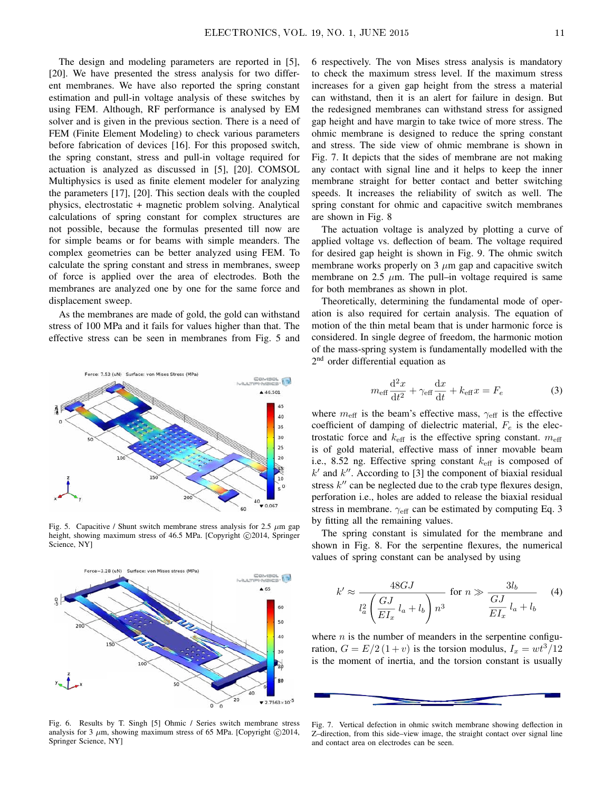The design and modeling parameters are reported in [5], [20]. We have presented the stress analysis for two different membranes. We have also reported the spring constant estimation and pull-in voltage analysis of these switches by using FEM. Although, RF performance is analysed by EM solver and is given in the previous section. There is a need of FEM (Finite Element Modeling) to check various parameters before fabrication of devices [16]. For this proposed switch, the spring constant, stress and pull-in voltage required for actuation is analyzed as discussed in [5], [20]. COMSOL Multiphysics is used as finite element modeler for analyzing the parameters [17], [20]. This section deals with the coupled physics, electrostatic + magnetic problem solving. Analytical calculations of spring constant for complex structures are not possible, because the formulas presented till now are for simple beams or for beams with simple meanders. The complex geometries can be better analyzed using FEM. To calculate the spring constant and stress in membranes, sweep of force is applied over the area of electrodes. Both the membranes are analyzed one by one for the same force and displacement sweep.

As the membranes are made of gold, the gold can withstand stress of 100 MPa and it fails for values higher than that. The effective stress can be seen in membranes from Fig. 5 and



Fig. 5. Capacitive / Shunt switch membrane stress analysis for 2.5  $\mu$ m gap height, showing maximum stress of 46.5 MPa. [Copyright ©2014, Springer Science, NY]



Fig. 6. Results by T. Singh [5] Ohmic / Series switch membrane stress analysis for 3  $\mu$ m, showing maximum stress of 65 MPa. [Copyright  $\odot$ 2014, Springer Science, NY]

6 respectively. The von Mises stress analysis is mandatory to check the maximum stress level. If the maximum stress increases for a given gap height from the stress a material can withstand, then it is an alert for failure in design. But the redesigned membranes can withstand stress for assigned gap height and have margin to take twice of more stress. The ohmic membrane is designed to reduce the spring constant and stress. The side view of ohmic membrane is shown in Fig. 7. It depicts that the sides of membrane are not making any contact with signal line and it helps to keep the inner membrane straight for better contact and better switching speeds. It increases the reliability of switch as well. The spring constant for ohmic and capacitive switch membranes are shown in Fig. 8

The actuation voltage is analyzed by plotting a curve of applied voltage vs. deflection of beam. The voltage required for desired gap height is shown in Fig. 9. The ohmic switch membrane works properly on 3  $\mu$ m gap and capacitive switch membrane on 2.5  $\mu$ m. The pull–in voltage required is same for both membranes as shown in plot.

Theoretically, determining the fundamental mode of operation is also required for certain analysis. The equation of motion of the thin metal beam that is under harmonic force is considered. In single degree of freedom, the harmonic motion of the mass-spring system is fundamentally modelled with the 2<sup>nd</sup> order differential equation as

$$
m_{\text{eff}}\frac{\mathrm{d}^2x}{\mathrm{d}t^2} + \gamma_{\text{eff}}\frac{\mathrm{d}x}{\mathrm{d}t} + k_{\text{eff}}x = F_e \tag{3}
$$

where  $m_{\text{eff}}$  is the beam's effective mass,  $\gamma_{\text{eff}}$  is the effective coefficient of damping of dielectric material,  $F_e$  is the electrostatic force and  $k_{\text{eff}}$  is the effective spring constant.  $m_{\text{eff}}$ is of gold material, effective mass of inner movable beam i.e., 8.52 ng. Effective spring constant  $k_{\text{eff}}$  is composed of  $k'$  and  $k''$ . According to [3] the component of biaxial residual stress  $k''$  can be neglected due to the crab type flexures design, perforation i.e., holes are added to release the biaxial residual stress in membrane.  $\gamma_{\text{eff}}$  can be estimated by computing Eq. 3 by fitting all the remaining values.

The spring constant is simulated for the membrane and shown in Fig. 8. For the serpentine flexures, the numerical values of spring constant can be analysed by using

$$
k' \approx \frac{48GJ}{l_a^2 \left(\frac{GJ}{EI_x} l_a + l_b\right) n^3} \quad \text{for } n \gg \frac{3l_b}{EI_x} l_a + l_b \tag{4}
$$

where  $n$  is the number of meanders in the serpentine configuration,  $G = E/2 (1 + v)$  is the torsion modulus,  $I_x = \frac{wt^3}{12}$ is the moment of inertia, and the torsion constant is usually



Fig. 7. Vertical defection in ohmic switch membrane showing deflection in Z–direction, from this side–view image, the straight contact over signal line and contact area on electrodes can be seen.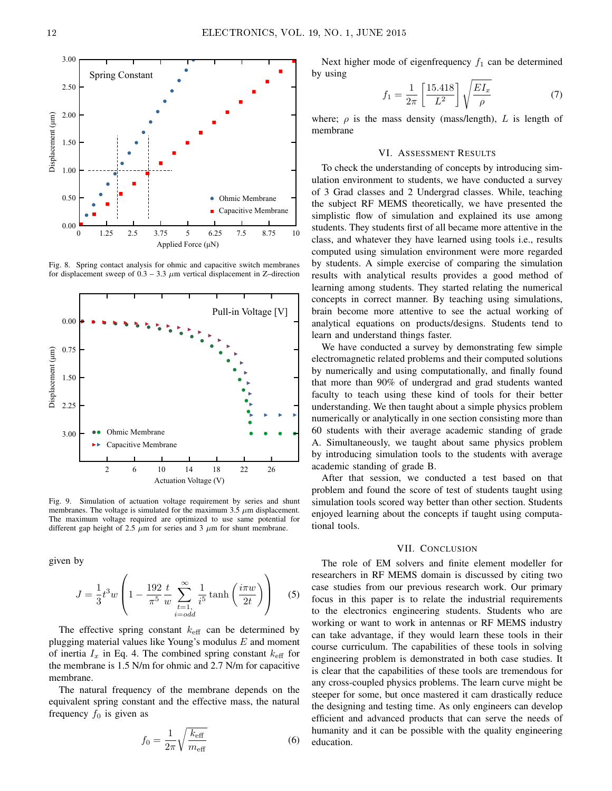

Fig. 8. Spring contact analysis for ohmic and capacitive switch membranes for displacement sweep of  $0.3 - 3.3 \mu m$  vertical displacement in Z-direction



Fig. 9. Simulation of actuation voltage requirement by series and shunt membranes. The voltage is simulated for the maximum 3.5  $\mu$ m displacement. The maximum voltage required are optimized to use same potential for different gap height of 2.5  $\mu$ m for series and 3  $\mu$ m for shunt membrane.

given by

$$
J = \frac{1}{3}t^3 w \left( 1 - \frac{192}{\pi^5} \frac{t}{w} \sum_{\substack{t=1, \\ i=odd}}^{\infty} \frac{1}{i^5} \tanh\left(\frac{i\pi w}{2t}\right) \right) \tag{5}
$$

The effective spring constant  $k_{\text{eff}}$  can be determined by plugging material values like Young's modulus  $E$  and moment of inertia  $I_x$  in Eq. 4. The combined spring constant  $k_{\text{eff}}$  for the membrane is 1.5 N/m for ohmic and 2.7 N/m for capacitive membrane.

The natural frequency of the membrane depends on the equivalent spring constant and the effective mass, the natural frequency  $f_0$  is given as

$$
f_0 = \frac{1}{2\pi} \sqrt{\frac{k_{\text{eff}}}{m_{\text{eff}}}}
$$
 (6)

Next higher mode of eigenfrequency  $f_1$  can be determined by using

$$
f_1 = \frac{1}{2\pi} \left[ \frac{15.418}{L^2} \right] \sqrt{\frac{EI_x}{\rho}} \tag{7}
$$

where;  $\rho$  is the mass density (mass/length), L is length of membrane

#### VI. ASSESSMENT RESULTS

To check the understanding of concepts by introducing simulation environment to students, we have conducted a survey of 3 Grad classes and 2 Undergrad classes. While, teaching the subject RF MEMS theoretically, we have presented the simplistic flow of simulation and explained its use among students. They students first of all became more attentive in the class, and whatever they have learned using tools i.e., results computed using simulation environment were more regarded by students. A simple exercise of comparing the simulation results with analytical results provides a good method of learning among students. They started relating the numerical concepts in correct manner. By teaching using simulations, brain become more attentive to see the actual working of analytical equations on products/designs. Students tend to learn and understand things faster.

We have conducted a survey by demonstrating few simple electromagnetic related problems and their computed solutions by numerically and using computationally, and finally found that more than 90% of undergrad and grad students wanted faculty to teach using these kind of tools for their better understanding. We then taught about a simple physics problem numerically or analytically in one section consisting more than 60 students with their average academic standing of grade A. Simultaneously, we taught about same physics problem by introducing simulation tools to the students with average academic standing of grade B.

After that session, we conducted a test based on that problem and found the score of test of students taught using simulation tools scored way better than other section. Students enjoyed learning about the concepts if taught using computational tools.

#### VII. CONCLUSION

The role of EM solvers and finite element modeller for researchers in RF MEMS domain is discussed by citing two case studies from our previous research work. Our primary focus in this paper is to relate the industrial requirements to the electronics engineering students. Students who are working or want to work in antennas or RF MEMS industry can take advantage, if they would learn these tools in their course curriculum. The capabilities of these tools in solving engineering problem is demonstrated in both case studies. It is clear that the capabilities of these tools are tremendous for any cross-coupled physics problems. The learn curve might be steeper for some, but once mastered it cam drastically reduce the designing and testing time. As only engineers can develop efficient and advanced products that can serve the needs of humanity and it can be possible with the quality engineering education.